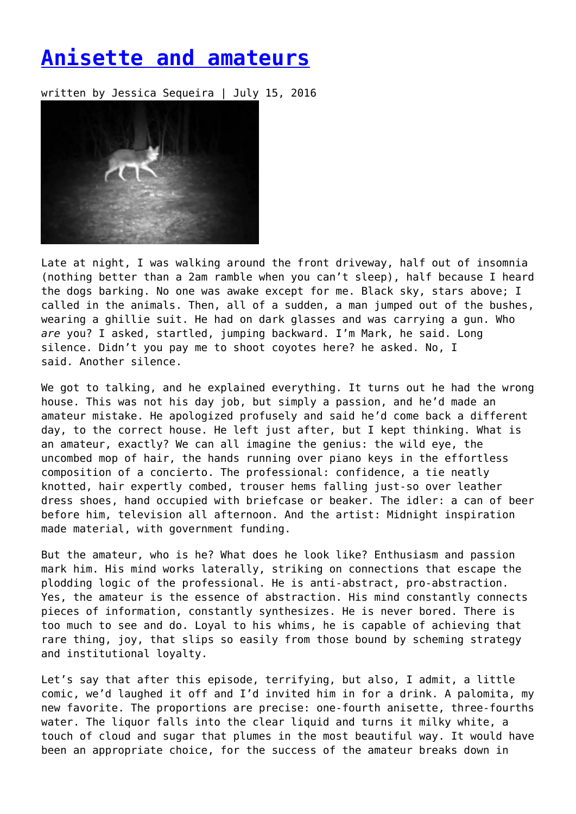## **[Anisette and amateurs](https://entropymag.org/anisette-and-amateurs/)**

written by Jessica Sequeira | July 15, 2016



Late at night, I was walking around the front driveway, half out of insomnia (nothing better than a 2am ramble when you can't sleep), half because I heard the dogs barking. No one was awake except for me. Black sky, stars above; I called in the animals. Then, all of a sudden, a man jumped out of the bushes, wearing a ghillie suit. He had on dark glasses and was carrying a gun. Who *are* you? I asked, startled, jumping backward. I'm Mark, he said. Long silence. Didn't you pay me to shoot coyotes here? he asked. No, I said. Another silence.

We got to talking, and he explained everything. It turns out he had the wrong house. This was not his day job, but simply a passion, and he'd made an amateur mistake. He apologized profusely and said he'd come back a different day, to the correct house. He left just after, but I kept thinking. What is an amateur, exactly? We can all imagine the genius: the wild eye, the uncombed mop of hair, the hands running over piano keys in the effortless composition of a concierto. The professional: confidence, a tie neatly knotted, hair expertly combed, trouser hems falling just-so over leather dress shoes, hand occupied with briefcase or beaker. The idler: a can of beer before him, television all afternoon. And the artist: Midnight inspiration made material, with government funding.

But the amateur, who is he? What does he look like? Enthusiasm and passion mark him. His mind works laterally, striking on connections that escape the plodding logic of the professional. He is anti-abstract, pro-abstraction. Yes, the amateur is the essence of abstraction. His mind constantly connects pieces of information, constantly synthesizes. He is never bored. There is too much to see and do. Loyal to his whims, he is capable of achieving that rare thing, joy, that slips so easily from those bound by scheming strategy and institutional loyalty.

Let's say that after this episode, terrifying, but also, I admit, a little comic, we'd laughed it off and I'd invited him in for a drink. A palomita, my new favorite. The proportions are precise: one-fourth anisette, three-fourths water. The liquor falls into the clear liquid and turns it milky white, a touch of cloud and sugar that plumes in the most beautiful way. It would have been an appropriate choice, for the success of the amateur breaks down in